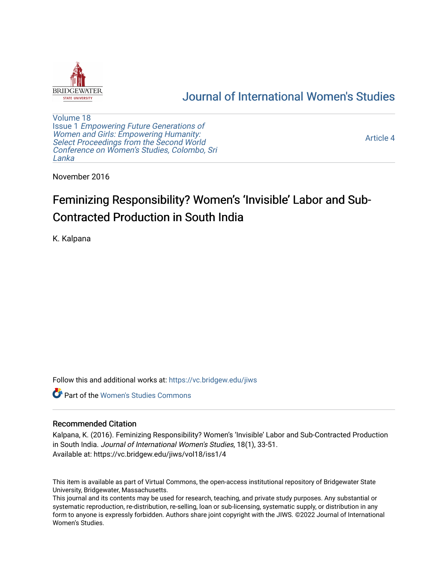

## [Journal of International Women's Studies](https://vc.bridgew.edu/jiws)

[Volume 18](https://vc.bridgew.edu/jiws/vol18) Issue 1 [Empowering Future Generations of](https://vc.bridgew.edu/jiws/vol18/iss1) [Women and Girls: Empowering Humanity:](https://vc.bridgew.edu/jiws/vol18/iss1) [Select Proceedings from the Second World](https://vc.bridgew.edu/jiws/vol18/iss1)  [Conference on Women's Studies, Colombo, Sri](https://vc.bridgew.edu/jiws/vol18/iss1)  [Lanka](https://vc.bridgew.edu/jiws/vol18/iss1) 

[Article 4](https://vc.bridgew.edu/jiws/vol18/iss1/4) 

November 2016

# Feminizing Responsibility? Women's 'Invisible' Labor and Sub-Contracted Production in South India

K. Kalpana

Follow this and additional works at: [https://vc.bridgew.edu/jiws](https://vc.bridgew.edu/jiws?utm_source=vc.bridgew.edu%2Fjiws%2Fvol18%2Fiss1%2F4&utm_medium=PDF&utm_campaign=PDFCoverPages)

**C** Part of the Women's Studies Commons

#### Recommended Citation

Kalpana, K. (2016). Feminizing Responsibility? Women's 'Invisible' Labor and Sub-Contracted Production in South India. Journal of International Women's Studies, 18(1), 33-51. Available at: https://vc.bridgew.edu/jiws/vol18/iss1/4

This item is available as part of Virtual Commons, the open-access institutional repository of Bridgewater State University, Bridgewater, Massachusetts.

This journal and its contents may be used for research, teaching, and private study purposes. Any substantial or systematic reproduction, re-distribution, re-selling, loan or sub-licensing, systematic supply, or distribution in any form to anyone is expressly forbidden. Authors share joint copyright with the JIWS. ©2022 Journal of International Women's Studies.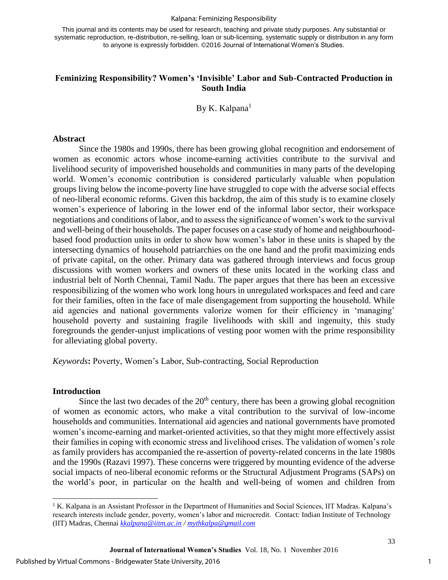#### Kalpana: Feminizing Responsibility

This journal and its contents may be used for research, teaching and private study purposes. Any substantial or systematic reproduction, re-distribution, re-selling, loan or sub-licensing, systematic supply or distribution in any form to anyone is expressly forbidden. ©2016 Journal of International Women's Studies.

## **Feminizing Responsibility? Women's 'Invisible' Labor and Sub-Contracted Production in South India**

By K. Kalpana $<sup>1</sup>$ </sup>

#### **Abstract**

Since the 1980s and 1990s, there has been growing global recognition and endorsement of women as economic actors whose income-earning activities contribute to the survival and livelihood security of impoverished households and communities in many parts of the developing world. Women's economic contribution is considered particularly valuable when population groups living below the income-poverty line have struggled to cope with the adverse social effects of neo-liberal economic reforms. Given this backdrop, the aim of this study is to examine closely women's experience of laboring in the lower end of the informal labor sector, their workspace negotiations and conditions of labor, and to assess the significance of women's work to the survival and well-being of their households. The paper focuses on a case study of home and neighbourhoodbased food production units in order to show how women's labor in these units is shaped by the intersecting dynamics of household patriarchies on the one hand and the profit maximizing ends of private capital, on the other. Primary data was gathered through interviews and focus group discussions with women workers and owners of these units located in the working class and industrial belt of North Chennai, Tamil Nadu. The paper argues that there has been an excessive responsibilizing of the women who work long hours in unregulated workspaces and feed and care for their families, often in the face of male disengagement from supporting the household. While aid agencies and national governments valorize women for their efficiency in 'managing' household poverty and sustaining fragile livelihoods with skill and ingenuity, this study foregrounds the gender-unjust implications of vesting poor women with the prime responsibility for alleviating global poverty.

*Keywords***:** Poverty, Women's Labor, Sub-contracting, Social Reproduction

## **Introduction**

l

Since the last two decades of the  $20<sup>th</sup>$  century, there has been a growing global recognition of women as economic actors, who make a vital contribution to the survival of low-income households and communities. International aid agencies and national governments have promoted women's income-earning and market-oriented activities, so that they might more effectively assist their families in coping with economic stress and livelihood crises. The validation of women's role as family providers has accompanied the re-assertion of poverty-related concerns in the late 1980s and the 1990s (Razavi 1997). These concerns were triggered by mounting evidence of the adverse social impacts of neo-liberal economic reforms or the Structural Adjustment Programs (SAPs) on the world's poor, in particular on the health and well-being of women and children from

<sup>&</sup>lt;sup>1</sup> K. Kalpana is an Assistant Professor in the Department of Humanities and Social Sciences, IIT Madras. Kalpana's research interests include gender, poverty, women's labor and microcredit. Contact: Indian Institute of Technology (IIT) Madras, Chennai *[kkalpana@iitm.ac.in](mailto:kkalpana@iitm.ac.in) / [mythkalpa@gmail.com](mailto:mythkalpa@gmail.com)*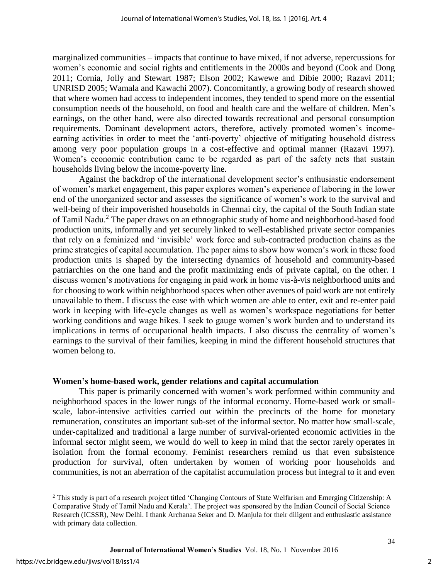marginalized communities – impacts that continue to have mixed, if not adverse, repercussions for women's economic and social rights and entitlements in the 2000s and beyond (Cook and Dong 2011; Cornia, Jolly and Stewart 1987; Elson 2002; Kawewe and Dibie 2000; Razavi 2011; UNRISD 2005; Wamala and Kawachi 2007). Concomitantly, a growing body of research showed that where women had access to independent incomes, they tended to spend more on the essential consumption needs of the household, on food and health care and the welfare of children. Men's earnings, on the other hand, were also directed towards recreational and personal consumption requirements. Dominant development actors, therefore, actively promoted women's incomeearning activities in order to meet the 'anti-poverty' objective of mitigating household distress among very poor population groups in a cost-effective and optimal manner (Razavi 1997). Women's economic contribution came to be regarded as part of the safety nets that sustain households living below the income-poverty line.

Against the backdrop of the international development sector's enthusiastic endorsement of women's market engagement, this paper explores women's experience of laboring in the lower end of the unorganized sector and assesses the significance of women's work to the survival and well-being of their impoverished households in Chennai city, the capital of the South Indian state of Tamil Nadu.<sup>2</sup> The paper draws on an ethnographic study of home and neighborhood-based food production units, informally and yet securely linked to well-established private sector companies that rely on a feminized and 'invisible' work force and sub-contracted production chains as the prime strategies of capital accumulation. The paper aims to show how women's work in these food production units is shaped by the intersecting dynamics of household and community-based patriarchies on the one hand and the profit maximizing ends of private capital, on the other. I discuss women's motivations for engaging in paid work in home vis-à-vis neighborhood units and for choosing to work within neighborhood spaces when other avenues of paid work are not entirely unavailable to them. I discuss the ease with which women are able to enter, exit and re-enter paid work in keeping with life-cycle changes as well as women's workspace negotiations for better working conditions and wage hikes. I seek to gauge women's work burden and to understand its implications in terms of occupational health impacts. I also discuss the centrality of women's earnings to the survival of their families, keeping in mind the different household structures that women belong to.

#### **Women's home-based work, gender relations and capital accumulation**

This paper is primarily concerned with women's work performed within community and neighborhood spaces in the lower rungs of the informal economy. Home-based work or smallscale, labor-intensive activities carried out within the precincts of the home for monetary remuneration, constitutes an important sub-set of the informal sector. No matter how small-scale, under-capitalized and traditional a large number of survival-oriented economic activities in the informal sector might seem, we would do well to keep in mind that the sector rarely operates in isolation from the formal economy. Feminist researchers remind us that even subsistence production for survival, often undertaken by women of working poor households and communities, is not an aberration of the capitalist accumulation process but integral to it and even

 $\overline{a}$ 

<sup>2</sup> This study is part of a research project titled 'Changing Contours of State Welfarism and Emerging Citizenship: A Comparative Study of Tamil Nadu and Kerala'. The project was sponsored by the Indian Council of Social Science Research (ICSSR), New Delhi. I thank Archanaa Seker and D. Manjula for their diligent and enthusiastic assistance with primary data collection.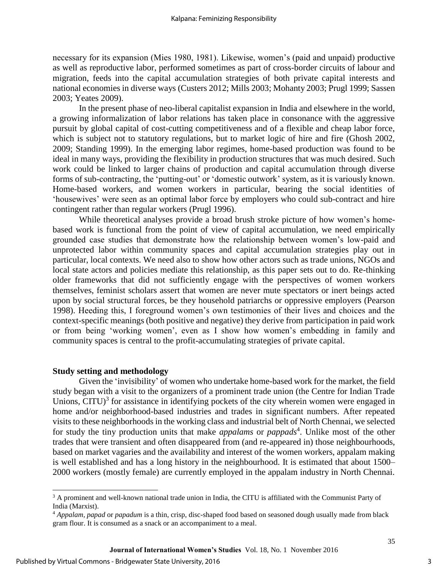necessary for its expansion (Mies 1980, 1981). Likewise, women's (paid and unpaid) productive as well as reproductive labor, performed sometimes as part of cross-border circuits of labour and migration, feeds into the capital accumulation strategies of both private capital interests and national economies in diverse ways (Custers 2012; Mills 2003; Mohanty 2003; Prugl 1999; Sassen 2003; Yeates 2009).

In the present phase of neo-liberal capitalist expansion in India and elsewhere in the world, a growing informalization of labor relations has taken place in consonance with the aggressive pursuit by global capital of cost-cutting competitiveness and of a flexible and cheap labor force, which is subject not to statutory regulations, but to market logic of hire and fire (Ghosh 2002, 2009; Standing 1999). In the emerging labor regimes, home-based production was found to be ideal in many ways, providing the flexibility in production structures that was much desired. Such work could be linked to larger chains of production and capital accumulation through diverse forms of sub-contracting, the 'putting-out' or 'domestic outwork' system, as it is variously known. Home-based workers, and women workers in particular, bearing the social identities of 'housewives' were seen as an optimal labor force by employers who could sub-contract and hire contingent rather than regular workers (Prugl 1996).

While theoretical analyses provide a broad brush stroke picture of how women's homebased work is functional from the point of view of capital accumulation, we need empirically grounded case studies that demonstrate how the relationship between women's low-paid and unprotected labor within community spaces and capital accumulation strategies play out in particular, local contexts. We need also to show how other actors such as trade unions, NGOs and local state actors and policies mediate this relationship, as this paper sets out to do. Re-thinking older frameworks that did not sufficiently engage with the perspectives of women workers themselves, feminist scholars assert that women are never mute spectators or inert beings acted upon by social structural forces, be they household patriarchs or oppressive employers (Pearson 1998). Heeding this, I foreground women's own testimonies of their lives and choices and the context-specific meanings (both positive and negative) they derive from participation in paid work or from being 'working women', even as I show how women's embedding in family and community spaces is central to the profit-accumulating strategies of private capital.

## **Study setting and methodology**

Given the 'invisibility' of women who undertake home-based work for the market, the field study began with a visit to the organizers of a prominent trade union (the Centre for Indian Trade Unions, CITU) $3$  for assistance in identifying pockets of the city wherein women were engaged in home and/or neighborhood-based industries and trades in significant numbers. After repeated visits to these neighborhoods in the working class and industrial belt of North Chennai, we selected for study the tiny production units that make *appalams* or *pappads*<sup>4</sup>. Unlike most of the other trades that were transient and often disappeared from (and re-appeared in) those neighbourhoods, based on market vagaries and the availability and interest of the women workers, appalam making is well established and has a long history in the neighbourhood. It is estimated that about 1500– 2000 workers (mostly female) are currently employed in the appalam industry in North Chennai.

 $\overline{a}$ 

<sup>&</sup>lt;sup>3</sup> A prominent and well-known national trade union in India, the CITU is affiliated with the Communist Party of India (Marxist).

<sup>4</sup> *Appalam, papad* or *papadum* is a thin, crisp, disc-shaped food based on seasoned dough usually made from black gram flour. It is consumed as a snack or an accompaniment to a meal.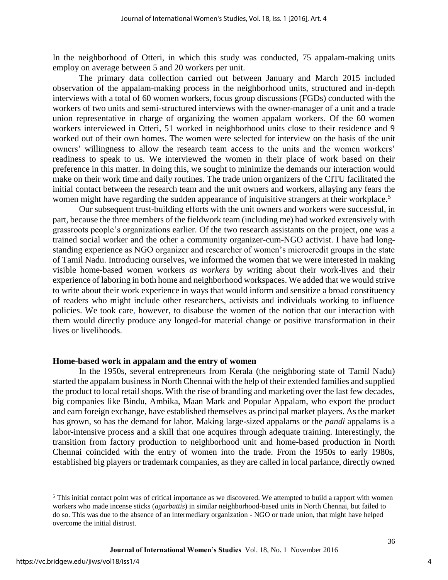In the neighborhood of Otteri, in which this study was conducted, 75 appalam-making units employ on average between 5 and 20 workers per unit.

The primary data collection carried out between January and March 2015 included observation of the appalam-making process in the neighborhood units, structured and in-depth interviews with a total of 60 women workers, focus group discussions (FGDs) conducted with the workers of two units and semi-structured interviews with the owner-manager of a unit and a trade union representative in charge of organizing the women appalam workers. Of the 60 women workers interviewed in Otteri, 51 worked in neighborhood units close to their residence and 9 worked out of their own homes. The women were selected for interview on the basis of the unit owners' willingness to allow the research team access to the units and the women workers' readiness to speak to us. We interviewed the women in their place of work based on their preference in this matter. In doing this, we sought to minimize the demands our interaction would make on their work time and daily routines. The trade union organizers of the CITU facilitated the initial contact between the research team and the unit owners and workers, allaying any fears the women might have regarding the sudden appearance of inquisitive strangers at their workplace.<sup>5</sup>

Our subsequent trust-building efforts with the unit owners and workers were successful, in part, because the three members of the fieldwork team (including me) had worked extensively with grassroots people's organizations earlier. Of the two research assistants on the project, one was a trained social worker and the other a community organizer-cum-NGO activist. I have had longstanding experience as NGO organizer and researcher of women's microcredit groups in the state of Tamil Nadu. Introducing ourselves, we informed the women that we were interested in making visible home-based women workers *as workers* by writing about their work-lives and their experience of laboring in both home and neighborhood workspaces. We added that we would strive to write about their work experience in ways that would inform and sensitize a broad constituency of readers who might include other researchers, activists and individuals working to influence policies. We took care, however, to disabuse the women of the notion that our interaction with them would directly produce any longed-for material change or positive transformation in their lives or livelihoods.

#### **Home-based work in appalam and the entry of women**

In the 1950s, several entrepreneurs from Kerala (the neighboring state of Tamil Nadu) started the appalam business in North Chennai with the help of their extended families and supplied the product to local retail shops. With the rise of branding and marketing over the last few decades, big companies like Bindu, Ambika, Maan Mark and Popular Appalam, who export the product and earn foreign exchange, have established themselves as principal market players. As the market has grown, so has the demand for labor. Making large-sized appalams or the *pandi* appalams is a labor-intensive process and a skill that one acquires through adequate training. Interestingly, the transition from factory production to neighborhood unit and home-based production in North Chennai coincided with the entry of women into the trade. From the 1950s to early 1980s, established big players or trademark companies, as they are called in local parlance, directly owned

 $\overline{a}$ 

4

 $<sup>5</sup>$  This initial contact point was of critical importance as we discovered. We attempted to build a rapport with women</sup> workers who made incense sticks (*agarbattis*) in similar neighborhood-based units in North Chennai, but failed to do so. This was due to the absence of an intermediary organization - NGO or trade union, that might have helped overcome the initial distrust.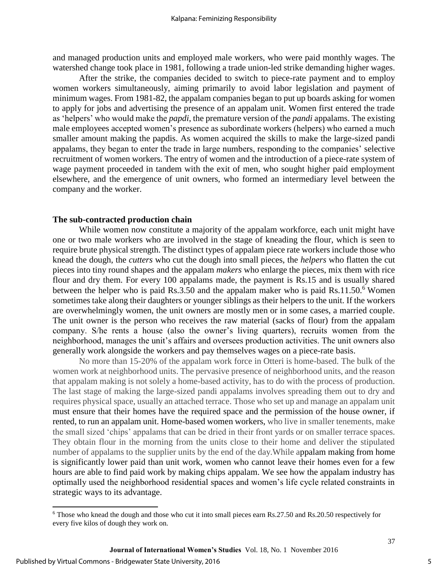and managed production units and employed male workers, who were paid monthly wages. The watershed change took place in 1981, following a trade union-led strike demanding higher wages.

After the strike, the companies decided to switch to piece-rate payment and to employ women workers simultaneously, aiming primarily to avoid labor legislation and payment of minimum wages. From 1981-82, the appalam companies began to put up boards asking for women to apply for jobs and advertising the presence of an appalam unit. Women first entered the trade as 'helpers' who would make the *papdi*, the premature version of the *pandi* appalams. The existing male employees accepted women's presence as subordinate workers (helpers) who earned a much smaller amount making the papdis. As women acquired the skills to make the large-sized pandi appalams, they began to enter the trade in large numbers, responding to the companies' selective recruitment of women workers. The entry of women and the introduction of a piece-rate system of wage payment proceeded in tandem with the exit of men, who sought higher paid employment elsewhere, and the emergence of unit owners, who formed an intermediary level between the company and the worker.

#### **The sub-contracted production chain**

While women now constitute a majority of the appalam workforce, each unit might have one or two male workers who are involved in the stage of kneading the flour, which is seen to require brute physical strength. The distinct types of appalam piece rate workers include those who knead the dough, the *cutters* who cut the dough into small pieces, the *helpers* who flatten the cut pieces into tiny round shapes and the appalam *makers* who enlarge the pieces, mix them with rice flour and dry them. For every 100 appalams made, the payment is Rs.15 and is usually shared between the helper who is paid Rs.3.50 and the appalam maker who is paid Rs.11.50.<sup>6</sup> Women sometimes take along their daughters or younger siblings as their helpers to the unit. If the workers are overwhelmingly women, the unit owners are mostly men or in some cases, a married couple. The unit owner is the person who receives the raw material (sacks of flour) from the appalam company. S/he rents a house (also the owner's living quarters), recruits women from the neighborhood, manages the unit's affairs and oversees production activities. The unit owners also generally work alongside the workers and pay themselves wages on a piece-rate basis.

No more than 15-20% of the appalam work force in Otteri is home-based. The bulk of the women work at neighborhood units. The pervasive presence of neighborhood units, and the reason that appalam making is not solely a home-based activity, has to do with the process of production. The last stage of making the large-sized pandi appalams involves spreading them out to dry and requires physical space, usually an attached terrace. Those who set up and manage an appalam unit must ensure that their homes have the required space and the permission of the house owner, if rented, to run an appalam unit. Home-based women workers, who live in smaller tenements, make the small sized 'chips' appalams that can be dried in their front yards or on smaller terrace spaces. They obtain flour in the morning from the units close to their home and deliver the stipulated number of appalams to the supplier units by the end of the day.While appalam making from home is significantly lower paid than unit work, women who cannot leave their homes even for a few hours are able to find paid work by making chips appalam. We see how the appalam industry has optimally used the neighborhood residential spaces and women's life cycle related constraints in strategic ways to its advantage.

 $\overline{\phantom{0}}$ 

<sup>&</sup>lt;sup>6</sup> Those who knead the dough and those who cut it into small pieces earn Rs.27.50 and Rs.20.50 respectively for every five kilos of dough they work on.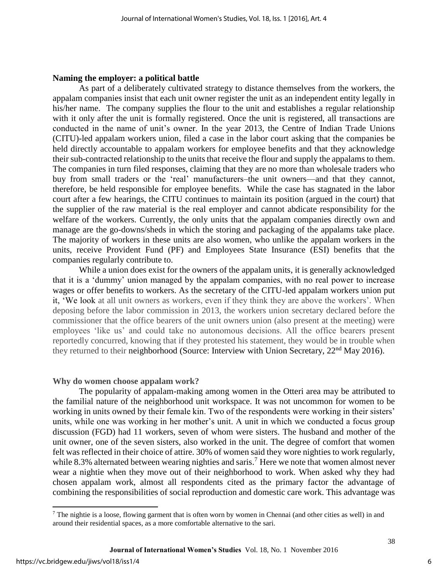#### **Naming the employer: a political battle**

As part of a deliberately cultivated strategy to distance themselves from the workers, the appalam companies insist that each unit owner register the unit as an independent entity legally in his/her name. The company supplies the flour to the unit and establishes a regular relationship with it only after the unit is formally registered. Once the unit is registered, all transactions are conducted in the name of unit's owner. In the year 2013, the Centre of Indian Trade Unions (CITU)-led appalam workers union, filed a case in the labor court asking that the companies be held directly accountable to appalam workers for employee benefits and that they acknowledge their sub-contracted relationship to the units that receive the flour and supply the appalams to them. The companies in turn filed responses, claiming that they are no more than wholesale traders who buy from small traders or the 'real' manufacturers–the unit owners—and that they cannot, therefore, be held responsible for employee benefits. While the case has stagnated in the labor court after a few hearings, the CITU continues to maintain its position (argued in the court) that the supplier of the raw material is the real employer and cannot abdicate responsibility for the welfare of the workers. Currently, the only units that the appalam companies directly own and manage are the go-downs/sheds in which the storing and packaging of the appalams take place. The majority of workers in these units are also women, who unlike the appalam workers in the units, receive Provident Fund (PF) and Employees State Insurance (ESI) benefits that the companies regularly contribute to.

While a union does exist for the owners of the appalam units, it is generally acknowledged that it is a 'dummy' union managed by the appalam companies, with no real power to increase wages or offer benefits to workers. As the secretary of the CITU-led appalam workers union put it, 'We look at all unit owners as workers, even if they think they are above the workers'. When deposing before the labor commission in 2013, the workers union secretary declared before the commissioner that the office bearers of the unit owners union (also present at the meeting) were employees 'like us' and could take no autonomous decisions. All the office bearers present reportedly concurred, knowing that if they protested his statement, they would be in trouble when they returned to their neighborhood (Source: Interview with Union Secretary, 22<sup>nd</sup> May 2016).

#### **Why do women choose appalam work?**

The popularity of appalam-making among women in the Otteri area may be attributed to the familial nature of the neighborhood unit workspace. It was not uncommon for women to be working in units owned by their female kin. Two of the respondents were working in their sisters' units, while one was working in her mother's unit. A unit in which we conducted a focus group discussion (FGD) had 11 workers, seven of whom were sisters. The husband and mother of the unit owner, one of the seven sisters, also worked in the unit. The degree of comfort that women felt was reflected in their choice of attire. 30% of women said they wore nighties to work regularly, while 8.3% alternated between wearing nighties and saris.<sup>7</sup> Here we note that women almost never wear a nightie when they move out of their neighborhood to work. When asked why they had chosen appalam work, almost all respondents cited as the primary factor the advantage of combining the responsibilities of social reproduction and domestic care work. This advantage was

 $\overline{\phantom{0}}$ 

 $7$  The nightie is a loose, flowing garment that is often worn by women in Chennai (and other cities as well) in and around their residential spaces, as a more comfortable alternative to the sari.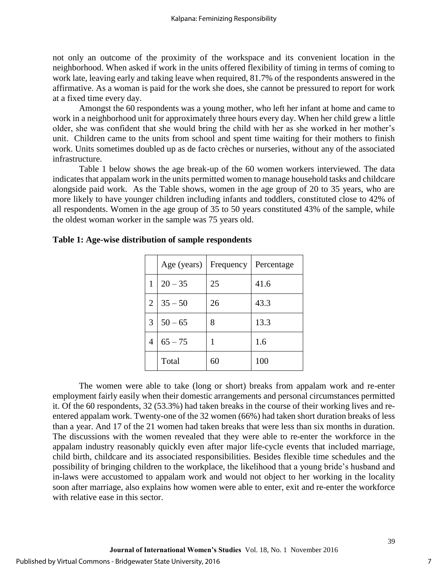not only an outcome of the proximity of the workspace and its convenient location in the neighborhood. When asked if work in the units offered flexibility of timing in terms of coming to work late, leaving early and taking leave when required, 81.7% of the respondents answered in the affirmative. As a woman is paid for the work she does, she cannot be pressured to report for work at a fixed time every day.

Amongst the 60 respondents was a young mother, who left her infant at home and came to work in a neighborhood unit for approximately three hours every day. When her child grew a little older, she was confident that she would bring the child with her as she worked in her mother's unit. Children came to the units from school and spent time waiting for their mothers to finish work. Units sometimes doubled up as de facto crèches or nurseries, without any of the associated infrastructure.

Table 1 below shows the age break-up of the 60 women workers interviewed. The data indicates that appalam work in the units permitted women to manage household tasks and childcare alongside paid work. As the Table shows, women in the age group of 20 to 35 years, who are more likely to have younger children including infants and toddlers, constituted close to 42% of all respondents. Women in the age group of  $35$  to 50 years constituted 43% of the sample, while the oldest woman worker in the sample was 75 years old.

|   | Age (years) | Frequency | Percentage |
|---|-------------|-----------|------------|
| 1 | $20 - 35$   | 25        | 41.6       |
| 2 | $35 - 50$   | 26        | 43.3       |
| 3 | $50 - 65$   | 8         | 13.3       |
| 4 | $65 - 75$   | 1         | 1.6        |
|   | Total       | 60        | 100        |

## **Table 1: Age-wise distribution of sample respondents**

The women were able to take (long or short) breaks from appalam work and re-enter employment fairly easily when their domestic arrangements and personal circumstances permitted it. Of the 60 respondents, 32 (53.3%) had taken breaks in the course of their working lives and reentered appalam work. Twenty-one of the 32 women (66%) had taken short duration breaks of less than a year. And 17 of the 21 women had taken breaks that were less than six months in duration. The discussions with the women revealed that they were able to re-enter the workforce in the appalam industry reasonably quickly even after major life-cycle events that included marriage, child birth, childcare and its associated responsibilities. Besides flexible time schedules and the possibility of bringing children to the workplace, the likelihood that a young bride's husband and in-laws were accustomed to appalam work and would not object to her working in the locality soon after marriage, also explains how women were able to enter, exit and re-enter the workforce with relative ease in this sector.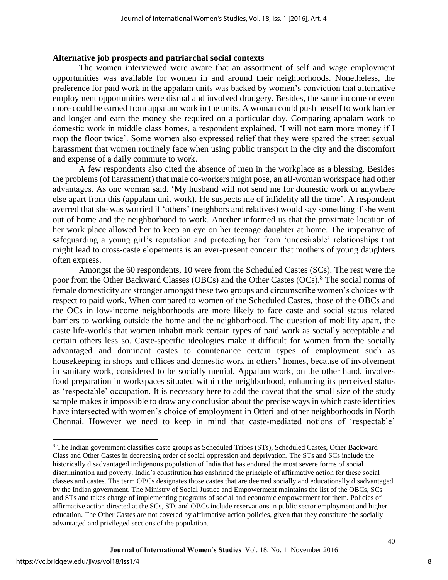#### **Alternative job prospects and patriarchal social contexts**

The women interviewed were aware that an assortment of self and wage employment opportunities was available for women in and around their neighborhoods. Nonetheless, the preference for paid work in the appalam units was backed by women's conviction that alternative employment opportunities were dismal and involved drudgery. Besides, the same income or even more could be earned from appalam work in the units. A woman could push herself to work harder and longer and earn the money she required on a particular day. Comparing appalam work to domestic work in middle class homes, a respondent explained, 'I will not earn more money if I mop the floor twice'. Some women also expressed relief that they were spared the street sexual harassment that women routinely face when using public transport in the city and the discomfort and expense of a daily commute to work.

A few respondents also cited the absence of men in the workplace as a blessing. Besides the problems (of harassment) that male co-workers might pose, an all-woman workspace had other advantages. As one woman said, 'My husband will not send me for domestic work or anywhere else apart from this (appalam unit work). He suspects me of infidelity all the time'. A respondent averred that she was worried if 'others' (neighbors and relatives) would say something if she went out of home and the neighborhood to work. Another informed us that the proximate location of her work place allowed her to keep an eye on her teenage daughter at home. The imperative of safeguarding a young girl's reputation and protecting her from 'undesirable' relationships that might lead to cross-caste elopements is an ever-present concern that mothers of young daughters often express.

Amongst the 60 respondents, 10 were from the Scheduled Castes (SCs). The rest were the poor from the Other Backward Classes (OBCs) and the Other Castes (OCs).<sup>8</sup> The social norms of female domesticity are stronger amongst these two groups and circumscribe women's choices with respect to paid work. When compared to women of the Scheduled Castes, those of the OBCs and the OCs in low-income neighborhoods are more likely to face caste and social status related barriers to working outside the home and the neighborhood. The question of mobility apart, the caste life-worlds that women inhabit mark certain types of paid work as socially acceptable and certain others less so. Caste-specific ideologies make it difficult for women from the socially advantaged and dominant castes to countenance certain types of employment such as housekeeping in shops and offices and domestic work in others' homes, because of involvement in sanitary work, considered to be socially menial. Appalam work, on the other hand, involves food preparation in workspaces situated within the neighborhood, enhancing its perceived status as 'respectable' occupation. It is necessary here to add the caveat that the small size of the study sample makes it impossible to draw any conclusion about the precise ways in which caste identities have intersected with women's choice of employment in Otteri and other neighborhoods in North Chennai. However we need to keep in mind that caste-mediated notions of 'respectable'

 $\overline{a}$ 

<sup>&</sup>lt;sup>8</sup> The Indian government classifies caste groups as Scheduled Tribes (STs), Scheduled Castes, Other Backward Class and Other Castes in decreasing order of social oppression and deprivation. The STs and SCs include the historically disadvantaged indigenous population of India that has endured the most severe forms of social discrimination and poverty. India's constitution has enshrined the principle of affirmative action for these social classes and castes. The term OBCs designates those castes that are deemed socially and educationally disadvantaged by the Indian government. The Ministry of Social Justice and Empowerment maintains the list of the OBCs, SCs and STs and takes charge of implementing programs of social and economic empowerment for them. Policies of affirmative action directed at the SCs, STs and OBCs include reservations in public sector employment and higher education. The Other Castes are not covered by affirmative action policies, given that they constitute the socially advantaged and privileged sections of the population.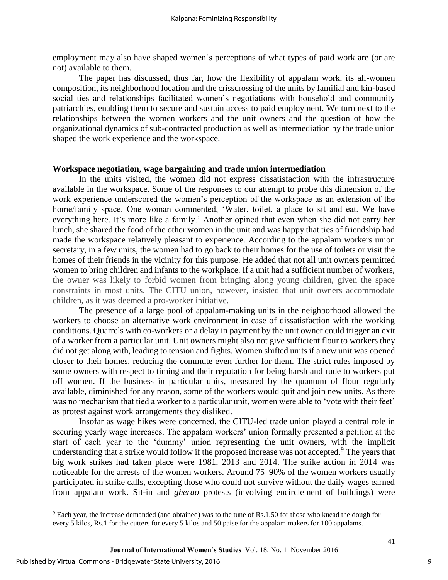employment may also have shaped women's perceptions of what types of paid work are (or are not) available to them.

The paper has discussed, thus far, how the flexibility of appalam work, its all-women composition, its neighborhood location and the crisscrossing of the units by familial and kin-based social ties and relationships facilitated women's negotiations with household and community patriarchies, enabling them to secure and sustain access to paid employment. We turn next to the relationships between the women workers and the unit owners and the question of how the organizational dynamics of sub-contracted production as well as intermediation by the trade union shaped the work experience and the workspace.

#### **Workspace negotiation, wage bargaining and trade union intermediation**

In the units visited, the women did not express dissatisfaction with the infrastructure available in the workspace. Some of the responses to our attempt to probe this dimension of the work experience underscored the women's perception of the workspace as an extension of the home/family space. One woman commented, 'Water, toilet, a place to sit and eat. We have everything here. It's more like a family.' Another opined that even when she did not carry her lunch, she shared the food of the other women in the unit and was happy that ties of friendship had made the workspace relatively pleasant to experience. According to the appalam workers union secretary, in a few units, the women had to go back to their homes for the use of toilets or visit the homes of their friends in the vicinity for this purpose. He added that not all unit owners permitted women to bring children and infants to the workplace. If a unit had a sufficient number of workers, the owner was likely to forbid women from bringing along young children, given the space constraints in most units. The CITU union, however, insisted that unit owners accommodate children, as it was deemed a pro-worker initiative.

The presence of a large pool of appalam-making units in the neighborhood allowed the workers to choose an alternative work environment in case of dissatisfaction with the working conditions. Quarrels with co-workers or a delay in payment by the unit owner could trigger an exit of a worker from a particular unit. Unit owners might also not give sufficient flour to workers they did not get along with, leading to tension and fights. Women shifted units if a new unit was opened closer to their homes, reducing the commute even further for them. The strict rules imposed by some owners with respect to timing and their reputation for being harsh and rude to workers put off women. If the business in particular units, measured by the quantum of flour regularly available, diminished for any reason, some of the workers would quit and join new units. As there was no mechanism that tied a worker to a particular unit, women were able to 'vote with their feet' as protest against work arrangements they disliked.

Insofar as wage hikes were concerned, the CITU-led trade union played a central role in securing yearly wage increases. The appalam workers' union formally presented a petition at the start of each year to the 'dummy' union representing the unit owners, with the implicit understanding that a strike would follow if the proposed increase was not accepted.<sup>9</sup> The years that big work strikes had taken place were 1981, 2013 and 2014. The strike action in 2014 was noticeable for the arrests of the women workers. Around 75–90% of the women workers usually participated in strike calls, excepting those who could not survive without the daily wages earned from appalam work. Sit-in and *gherao* protests (involving encirclement of buildings) were

 $\overline{\phantom{0}}$ 

<sup>&</sup>lt;sup>9</sup> Each year, the increase demanded (and obtained) was to the tune of Rs.1.50 for those who knead the dough for every 5 kilos, Rs.1 for the cutters for every 5 kilos and 50 paise for the appalam makers for 100 appalams.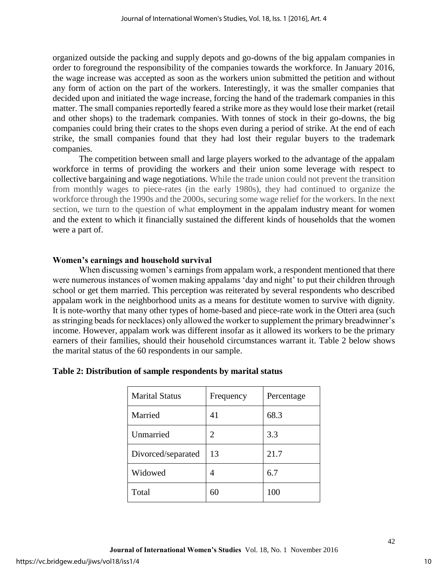organized outside the packing and supply depots and go-downs of the big appalam companies in order to foreground the responsibility of the companies towards the workforce. In January 2016, the wage increase was accepted as soon as the workers union submitted the petition and without any form of action on the part of the workers. Interestingly, it was the smaller companies that decided upon and initiated the wage increase, forcing the hand of the trademark companies in this matter. The small companies reportedly feared a strike more as they would lose their market (retail and other shops) to the trademark companies. With tonnes of stock in their go-downs, the big companies could bring their crates to the shops even during a period of strike. At the end of each strike, the small companies found that they had lost their regular buyers to the trademark companies.

The competition between small and large players worked to the advantage of the appalam workforce in terms of providing the workers and their union some leverage with respect to collective bargaining and wage negotiations. While the trade union could not prevent the transition from monthly wages to piece-rates (in the early 1980s), they had continued to organize the workforce through the 1990s and the 2000s, securing some wage relief for the workers. In the next section, we turn to the question of what employment in the appalam industry meant for women and the extent to which it financially sustained the different kinds of households that the women were a part of.

## **Women's earnings and household survival**

When discussing women's earnings from appalam work, a respondent mentioned that there were numerous instances of women making appalams 'day and night' to put their children through school or get them married. This perception was reiterated by several respondents who described appalam work in the neighborhood units as a means for destitute women to survive with dignity. It is note-worthy that many other types of home-based and piece-rate work in the Otteri area (such as stringing beads for necklaces) only allowed the worker to supplement the primary breadwinner's income. However, appalam work was different insofar as it allowed its workers to be the primary earners of their families, should their household circumstances warrant it. Table 2 below shows the marital status of the 60 respondents in our sample.

| <b>Marital Status</b> | Frequency | Percentage |
|-----------------------|-----------|------------|
| Married               | 41        | 68.3       |
| Unmarried             | 2         | 3.3        |
| Divorced/separated    | 13        | 21.7       |
| Widowed               | 4         | 6.7        |
| Total                 |           | 100        |

## **Table 2: Distribution of sample respondents by marital status**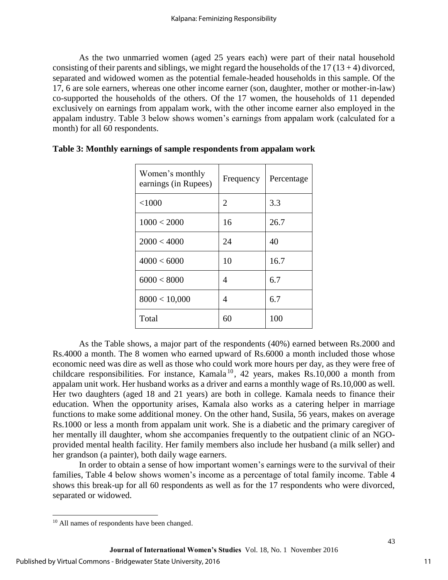As the two unmarried women (aged 25 years each) were part of their natal household consisting of their parents and siblings, we might regard the households of the  $17(13 + 4)$  divorced, separated and widowed women as the potential female-headed households in this sample. Of the 17, 6 are sole earners, whereas one other income earner (son, daughter, mother or mother-in-law) co-supported the households of the others. Of the 17 women, the households of 11 depended exclusively on earnings from appalam work, with the other income earner also employed in the appalam industry. Table 3 below shows women's earnings from appalam work (calculated for a month) for all 60 respondents.

| Women's monthly<br>earnings (in Rupees) | Frequency | Percentage |
|-----------------------------------------|-----------|------------|
| < 1000                                  | 2         | 3.3        |
| 1000 < 2000                             | 16        | 26.7       |
| 2000 < 4000                             | 24        | 40         |
| 4000 < 6000                             | 10        | 16.7       |
| 6000 < 8000                             | 4         | 6.7        |
| 8000 < 10,000                           | 4         | 6.7        |
| Total                                   | 60        | 100        |

**Table 3: Monthly earnings of sample respondents from appalam work** 

As the Table shows, a major part of the respondents (40%) earned between Rs.2000 and Rs.4000 a month. The 8 women who earned upward of Rs.6000 a month included those whose economic need was dire as well as those who could work more hours per day, as they were free of childcare responsibilities. For instance, Kamala<sup>10</sup>, 42 years, makes Rs.10,000 a month from appalam unit work. Her husband works as a driver and earns a monthly wage of Rs.10,000 as well. Her two daughters (aged 18 and 21 years) are both in college. Kamala needs to finance their education. When the opportunity arises, Kamala also works as a catering helper in marriage functions to make some additional money. On the other hand, Susila, 56 years, makes on average Rs.1000 or less a month from appalam unit work. She is a diabetic and the primary caregiver of her mentally ill daughter, whom she accompanies frequently to the outpatient clinic of an NGOprovided mental health facility. Her family members also include her husband (a milk seller) and her grandson (a painter), both daily wage earners.

In order to obtain a sense of how important women's earnings were to the survival of their families, Table 4 below shows women's income as a percentage of total family income. Table 4 shows this break-up for all 60 respondents as well as for the 17 respondents who were divorced, separated or widowed.

 $\overline{\phantom{0}}$ 

<sup>&</sup>lt;sup>10</sup> All names of respondents have been changed.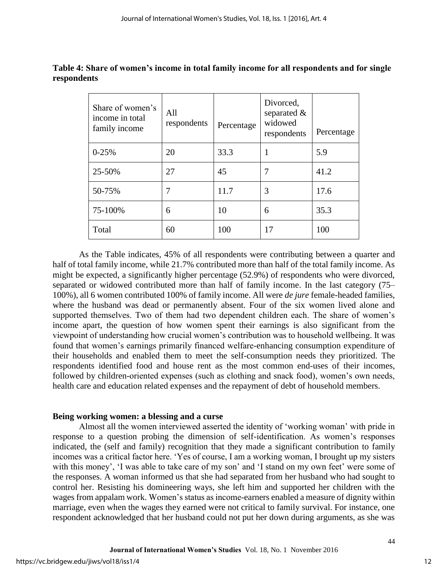| Share of women's<br>income in total<br>family income | All<br>respondents | Percentage | Divorced,<br>separated $\&$<br>widowed<br>respondents | Percentage |
|------------------------------------------------------|--------------------|------------|-------------------------------------------------------|------------|
| $0 - 25%$                                            | 20                 | 33.3       |                                                       | 5.9        |
| 25-50%                                               | 27                 | 45         |                                                       | 41.2       |
| 50-75%                                               |                    | 11.7       | 3                                                     | 17.6       |
| 75-100%                                              | 6                  | 10         | 6                                                     | 35.3       |
| Total                                                | 60                 | 100        | 17                                                    | 100        |

**Table 4: Share of women's income in total family income for all respondents and for single respondents** 

As the Table indicates, 45% of all respondents were contributing between a quarter and half of total family income, while 21.7% contributed more than half of the total family income. As might be expected, a significantly higher percentage (52.9%) of respondents who were divorced, separated or widowed contributed more than half of family income. In the last category (75– 100%), all 6 women contributed 100% of family income. All were *de jure* female-headed families, where the husband was dead or permanently absent. Four of the six women lived alone and supported themselves. Two of them had two dependent children each. The share of women's income apart, the question of how women spent their earnings is also significant from the viewpoint of understanding how crucial women's contribution was to household wellbeing. It was found that women's earnings primarily financed welfare-enhancing consumption expenditure of their households and enabled them to meet the self-consumption needs they prioritized. The respondents identified food and house rent as the most common end-uses of their incomes, followed by children-oriented expenses (such as clothing and snack food), women's own needs, health care and education related expenses and the repayment of debt of household members.

## **Being working women: a blessing and a curse**

Almost all the women interviewed asserted the identity of 'working woman' with pride in response to a question probing the dimension of self-identification. As women's responses indicated, the (self and family) recognition that they made a significant contribution to family incomes was a critical factor here. 'Yes of course, I am a working woman, I brought up my sisters with this money', 'I was able to take care of my son' and 'I stand on my own feet' were some of the responses. A woman informed us that she had separated from her husband who had sought to control her. Resisting his domineering ways, she left him and supported her children with the wages from appalam work. Women's status as income-earners enabled a measure of dignity within marriage, even when the wages they earned were not critical to family survival. For instance, one respondent acknowledged that her husband could not put her down during arguments, as she was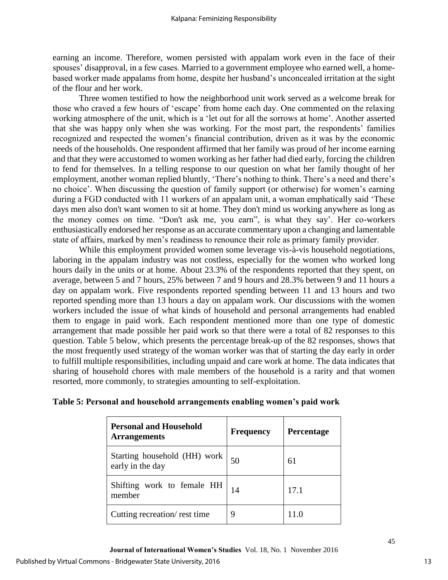earning an income. Therefore, women persisted with appalam work even in the face of their spouses' disapproval, in a few cases. Married to a government employee who earned well, a homebased worker made appalams from home, despite her husband's unconcealed irritation at the sight of the flour and her work.

Three women testified to how the neighborhood unit work served as a welcome break for those who craved a few hours of 'escape' from home each day. One commented on the relaxing working atmosphere of the unit, which is a 'let out for all the sorrows at home'. Another asserted that she was happy only when she was working. For the most part, the respondents' families recognized and respected the women's financial contribution, driven as it was by the economic needs of the households. One respondent affirmed that her family was proud of her income earning and that they were accustomed to women working as her father had died early, forcing the children to fend for themselves. In a telling response to our question on what her family thought of her employment, another woman replied bluntly, 'There's nothing to think. There's a need and there's no choice'. When discussing the question of family support (or otherwise) for women's earning during a FGD conducted with 11 workers of an appalam unit, a woman emphatically said 'These days men also don't want women to sit at home. They don't mind us working anywhere as long as the money comes on time. "Don't ask me, you earn", is what they say'. Her co-workers enthusiastically endorsed her response as an accurate commentary upon a changing and lamentable state of affairs, marked by men's readiness to renounce their role as primary family provider.

While this employment provided women some leverage vis-à-vis household negotiations, laboring in the appalam industry was not costless, especially for the women who worked long hours daily in the units or at home. About 23.3% of the respondents reported that they spent, on average, between 5 and 7 hours, 25% between 7 and 9 hours and 28.3% between 9 and 11 hours a day on appalam work. Five respondents reported spending between 11 and 13 hours and two reported spending more than 13 hours a day on appalam work. Our discussions with the women workers included the issue of what kinds of household and personal arrangements had enabled them to engage in paid work. Each respondent mentioned more than one type of domestic arrangement that made possible her paid work so that there were a total of 82 responses to this question. Table 5 below, which presents the percentage break-up of the 82 responses, shows that the most frequently used strategy of the woman worker was that of starting the day early in order to fulfill multiple responsibilities, including unpaid and care work at home. The data indicates that sharing of household chores with male members of the household is a rarity and that women resorted, more commonly, to strategies amounting to self-exploitation.

| <b>Personal and Household</b><br><b>Arrangements</b> | <b>Frequency</b> | <b>Percentage</b> |
|------------------------------------------------------|------------------|-------------------|
| Starting household (HH) work<br>early in the day     | 50               | 61                |
| Shifting work to female HH<br>member                 | 14               | 17.1              |
| Cutting recreation/rest time                         | 9                |                   |

## **Table 5: Personal and household arrangements enabling women's paid work**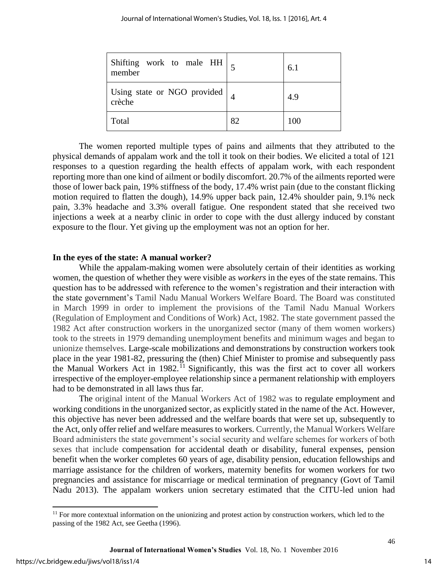| Shifting work to male HH<br>member    |    | 6.1 |
|---------------------------------------|----|-----|
| Using state or NGO provided<br>crèche |    | 4.9 |
| Total                                 | 82 | 100 |

The women reported multiple types of pains and ailments that they attributed to the physical demands of appalam work and the toll it took on their bodies. We elicited a total of 121 responses to a question regarding the health effects of appalam work, with each respondent reporting more than one kind of ailment or bodily discomfort. 20.7% of the ailments reported were those of lower back pain, 19% stiffness of the body, 17.4% wrist pain (due to the constant flicking motion required to flatten the dough), 14.9% upper back pain, 12.4% shoulder pain, 9.1% neck pain, 3.3% headache and 3.3% overall fatigue. One respondent stated that she received two injections a week at a nearby clinic in order to cope with the dust allergy induced by constant exposure to the flour. Yet giving up the employment was not an option for her.

#### **In the eyes of the state: A manual worker?**

While the appalam-making women were absolutely certain of their identities as working women, the question of whether they were visible as *workers* in the eyes of the state remains. This question has to be addressed with reference to the women's registration and their interaction with the state government's Tamil Nadu Manual Workers Welfare Board. The Board was constituted in March 1999 in order to implement the provisions of the Tamil Nadu Manual Workers (Regulation of Employment and Conditions of Work) Act, 1982. The state government passed the 1982 Act after construction workers in the unorganized sector (many of them women workers) took to the streets in 1979 demanding unemployment benefits and minimum wages and began to unionize themselves. Large-scale mobilizations and demonstrations by construction workers took place in the year 1981-82, pressuring the (then) Chief Minister to promise and subsequently pass the Manual Workers Act in 1982.<sup>11</sup> Significantly, this was the first act to cover all workers irrespective of the employer-employee relationship since a permanent relationship with employers had to be demonstrated in all laws thus far.

The original intent of the Manual Workers Act of 1982 was to regulate employment and working conditions in the unorganized sector, as explicitly stated in the name of the Act. However, this objective has never been addressed and the welfare boards that were set up, subsequently to the Act, only offer relief and welfare measures to workers. Currently, the Manual Workers Welfare Board administers the state government's social security and welfare schemes for workers of both sexes that include compensation for accidental death or disability, funeral expenses, pension benefit when the worker completes 60 years of age, disability pension, education fellowships and marriage assistance for the children of workers, maternity benefits for women workers for two pregnancies and assistance for miscarriage or medical termination of pregnancy (Govt of Tamil Nadu 2013). The appalam workers union secretary estimated that the CITU-led union had

 $\overline{\phantom{0}}$ 

 $11$  For more contextual information on the unionizing and protest action by construction workers, which led to the passing of the 1982 Act, see Geetha (1996).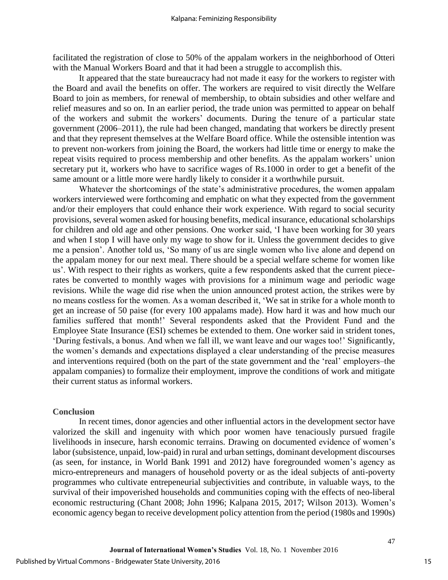facilitated the registration of close to 50% of the appalam workers in the neighborhood of Otteri with the Manual Workers Board and that it had been a struggle to accomplish this.

It appeared that the state bureaucracy had not made it easy for the workers to register with the Board and avail the benefits on offer. The workers are required to visit directly the Welfare Board to join as members, for renewal of membership, to obtain subsidies and other welfare and relief measures and so on. In an earlier period, the trade union was permitted to appear on behalf of the workers and submit the workers' documents. During the tenure of a particular state government (2006–2011), the rule had been changed, mandating that workers be directly present and that they represent themselves at the Welfare Board office. While the ostensible intention was to prevent non-workers from joining the Board, the workers had little time or energy to make the repeat visits required to process membership and other benefits. As the appalam workers' union secretary put it, workers who have to sacrifice wages of Rs.1000 in order to get a benefit of the same amount or a little more were hardly likely to consider it a worthwhile pursuit.

Whatever the shortcomings of the state's administrative procedures, the women appalam workers interviewed were forthcoming and emphatic on what they expected from the government and/or their employers that could enhance their work experience. With regard to social security provisions, several women asked for housing benefits, medical insurance, educational scholarships for children and old age and other pensions. One worker said, 'I have been working for 30 years and when I stop I will have only my wage to show for it. Unless the government decides to give me a pension'. Another told us, 'So many of us are single women who live alone and depend on the appalam money for our next meal. There should be a special welfare scheme for women like us'. With respect to their rights as workers, quite a few respondents asked that the current piecerates be converted to monthly wages with provisions for a minimum wage and periodic wage revisions. While the wage did rise when the union announced protest action, the strikes were by no means costless for the women. As a woman described it, 'We sat in strike for a whole month to get an increase of 50 paise (for every 100 appalams made). How hard it was and how much our families suffered that month!' Several respondents asked that the Provident Fund and the Employee State Insurance (ESI) schemes be extended to them. One worker said in strident tones, 'During festivals, a bonus. And when we fall ill, we want leave and our wages too!' Significantly, the women's demands and expectations displayed a clear understanding of the precise measures and interventions required (both on the part of the state government and the 'real' employers–the appalam companies) to formalize their employment, improve the conditions of work and mitigate their current status as informal workers.

#### **Conclusion**

In recent times, donor agencies and other influential actors in the development sector have valorized the skill and ingenuity with which poor women have tenaciously pursued fragile livelihoods in insecure, harsh economic terrains. Drawing on documented evidence of women's labor (subsistence, unpaid, low-paid) in rural and urban settings, dominant development discourses (as seen, for instance, in World Bank 1991 and 2012) have foregrounded women's agency as micro-entrepreneurs and managers of household poverty or as the ideal subjects of anti-poverty programmes who cultivate entrepeneurial subjectivities and contribute, in valuable ways, to the survival of their impoverished households and communities coping with the effects of neo-liberal economic restructuring (Chant 2008; John 1996; Kalpana 2015, 2017; Wilson 2013). Women's economic agency began to receive development policy attention from the period (1980s and 1990s)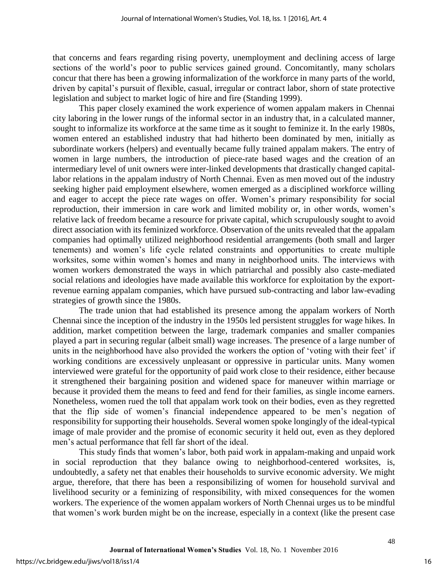that concerns and fears regarding rising poverty, unemployment and declining access of large sections of the world's poor to public services gained ground. Concomitantly, many scholars concur that there has been a growing informalization of the workforce in many parts of the world, driven by capital's pursuit of flexible, casual, irregular or contract labor, shorn of state protective legislation and subject to market logic of hire and fire (Standing 1999).

This paper closely examined the work experience of women appalam makers in Chennai city laboring in the lower rungs of the informal sector in an industry that, in a calculated manner, sought to informalize its workforce at the same time as it sought to feminize it. In the early 1980s, women entered an established industry that had hitherto been dominated by men, initially as subordinate workers (helpers) and eventually became fully trained appalam makers. The entry of women in large numbers, the introduction of piece-rate based wages and the creation of an intermediary level of unit owners were inter-linked developments that drastically changed capitallabor relations in the appalam industry of North Chennai. Even as men moved out of the industry seeking higher paid employment elsewhere, women emerged as a disciplined workforce willing and eager to accept the piece rate wages on offer. Women's primary responsibility for social reproduction, their immersion in care work and limited mobility or, in other words, women's relative lack of freedom became a resource for private capital, which scrupulously sought to avoid direct association with its feminized workforce. Observation of the units revealed that the appalam companies had optimally utilized neighborhood residential arrangements (both small and larger tenements) and women's life cycle related constraints and opportunities to create multiple worksites, some within women's homes and many in neighborhood units. The interviews with women workers demonstrated the ways in which patriarchal and possibly also caste-mediated social relations and ideologies have made available this workforce for exploitation by the exportrevenue earning appalam companies, which have pursued sub-contracting and labor law-evading strategies of growth since the 1980s.

The trade union that had established its presence among the appalam workers of North Chennai since the inception of the industry in the 1950s led persistent struggles for wage hikes. In addition, market competition between the large, trademark companies and smaller companies played a part in securing regular (albeit small) wage increases. The presence of a large number of units in the neighborhood have also provided the workers the option of 'voting with their feet' if working conditions are excessively unpleasant or oppressive in particular units. Many women interviewed were grateful for the opportunity of paid work close to their residence, either because it strengthened their bargaining position and widened space for maneuver within marriage or because it provided them the means to feed and fend for their families, as single income earners. Nonetheless, women rued the toll that appalam work took on their bodies, even as they regretted that the flip side of women's financial independence appeared to be men's negation of responsibility for supporting their households. Several women spoke longingly of the ideal-typical image of male provider and the promise of economic security it held out, even as they deplored men's actual performance that fell far short of the ideal.

This study finds that women's labor, both paid work in appalam-making and unpaid work in social reproduction that they balance owing to neighborhood-centered worksites, is, undoubtedly, a safety net that enables their households to survive economic adversity. We might argue, therefore, that there has been a responsibilizing of women for household survival and livelihood security or a feminizing of responsibility, with mixed consequences for the women workers. The experience of the women appalam workers of North Chennai urges us to be mindful that women's work burden might be on the increase, especially in a context (like the present case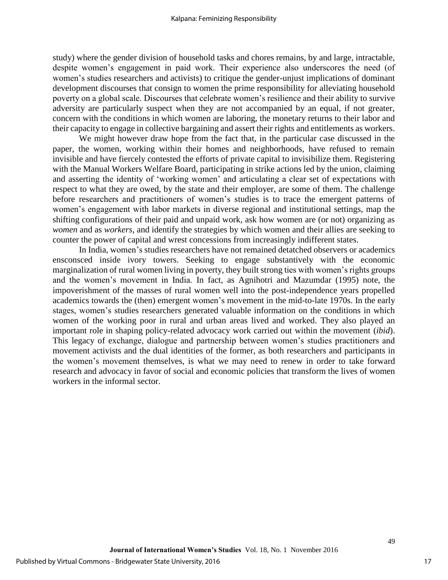study) where the gender division of household tasks and chores remains, by and large, intractable, despite women's engagement in paid work. Their experience also underscores the need (of women's studies researchers and activists) to critique the gender-unjust implications of dominant development discourses that consign to women the prime responsibility for alleviating household poverty on a global scale. Discourses that celebrate women's resilience and their ability to survive adversity are particularly suspect when they are not accompanied by an equal, if not greater, concern with the conditions in which women are laboring, the monetary returns to their labor and their capacity to engage in collective bargaining and assert their rights and entitlements as workers.

We might however draw hope from the fact that, in the particular case discussed in the paper, the women, working within their homes and neighborhoods, have refused to remain invisible and have fiercely contested the efforts of private capital to invisibilize them. Registering with the Manual Workers Welfare Board, participating in strike actions led by the union, claiming and asserting the identity of 'working women' and articulating a clear set of expectations with respect to what they are owed, by the state and their employer, are some of them. The challenge before researchers and practitioners of women's studies is to trace the emergent patterns of women's engagement with labor markets in diverse regional and institutional settings, map the shifting configurations of their paid and unpaid work, ask how women are (or not) organizing as *women* and as *workers*, and identify the strategies by which women and their allies are seeking to counter the power of capital and wrest concessions from increasingly indifferent states.

In India, women's studies researchers have not remained detatched observers or academics ensconsced inside ivory towers. Seeking to engage substantively with the economic marginalization of rural women living in poverty, they built strong ties with women's rights groups and the women's movement in India. In fact, as Agnihotri and Mazumdar (1995) note, the impoverishment of the masses of rural women well into the post-independence years propelled academics towards the (then) emergent women's movement in the mid-to-late 1970s. In the early stages, women's studies researchers generated valuable information on the conditions in which women of the working poor in rural and urban areas lived and worked. They also played an important role in shaping policy-related advocacy work carried out within the movement (*ibid*). This legacy of exchange, dialogue and partnership between women's studies practitioners and movement activists and the dual identities of the former, as both researchers and participants in the women's movement themselves, is what we may need to renew in order to take forward research and advocacy in favor of social and economic policies that transform the lives of women workers in the informal sector.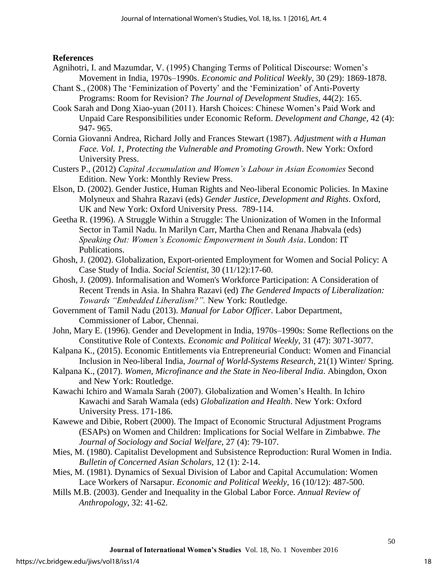## **References**

- Agnihotri, I. and Mazumdar, V. (1995) Changing Terms of Political Discourse: Women's Movement in India, 1970s–1990s. *Economic and Political Weekly*, 30 (29): 1869-1878.
- Chant S., (2008) The 'Feminization of Poverty' and the 'Feminization' of Anti-Poverty Programs: Room for Revision? *The Journal of Development Studies,* 44(2): 165.
- Cook Sarah and Dong Xiao-yuan (2011). Harsh Choices: Chinese Women's Paid Work and Unpaid Care Responsibilities under Economic Reform. *Development and Change,* 42 (4): 947- 965.
- Cornia Giovanni Andrea, Richard Jolly and Frances Stewart (1987). *Adjustment with a Human Face. Vol. 1, Protecting the Vulnerable and Promoting Growth*. New York: Oxford University Press.
- Custers P., (2012) *Capital Accumulation and Women's Labour in Asian Economies* Second Edition. New York: Monthly Review Press.
- Elson, D. (2002). Gender Justice, Human Rights and Neo-liberal Economic Policies. In Maxine Molyneux and Shahra Razavi (eds) *Gender Justice, Development and Rights*. Oxford, UK and New York: Oxford University Press. 789-114.
- Geetha R. (1996). A Struggle Within a Struggle: The Unionization of Women in the Informal Sector in Tamil Nadu. In Marilyn Carr, Martha Chen and Renana Jhabvala (eds) *Speaking Out: Women's Economic Empowerment in South Asia*. London: IT Publications.
- Ghosh, J. (2002). Globalization, Export-oriented Employment for Women and Social Policy: A Case Study of India. *Social Scientist,* 30 (11/12):17-60.
- Ghosh, J. (2009). Informalisation and Women's Workforce Participation: A Consideration of Recent Trends in Asia. In Shahra Razavi (ed) *The Gendered Impacts of Liberalization: Towards "Embedded Liberalism?".* New York: Routledge.
- Government of Tamil Nadu (2013). *Manual for Labor Officer*. Labor Department, Commissioner of Labor, Chennai.
- John, Mary E. (1996). Gender and Development in India, 1970s–1990s: Some Reflections on the Constitutive Role of Contexts. *Economic and Political Weekly*, 31 (47): 3071-3077.
- Kalpana K., (2015). Economic Entitlements via Entrepreneurial Conduct: Women and Financial Inclusion in Neo-liberal India, *Journal of World-Systems Research*, 21(1) Winter/ Spring.
- Kalpana K., (2017). *Women, Microfinance and the State in Neo-liberal India*. Abingdon, Oxon and New York: Routledge.
- Kawachi Ichiro and Wamala Sarah (2007). Globalization and Women's Health. In Ichiro Kawachi and Sarah Wamala (eds) *Globalization and Health*. New York: Oxford University Press. 171-186.
- Kawewe and Dibie, Robert (2000). The Impact of Economic Structural Adjustment Programs (ESAPs) on Women and Children: Implications for Social Welfare in Zimbabwe. *The Journal of Sociology and Social Welfare,* 27 (4): 79-107.
- Mies, M. (1980). Capitalist Development and Subsistence Reproduction: Rural Women in India. *Bulletin of Concerned Asian Scholars,* 12 (1): 2-14.
- Mies, M. (1981). Dynamics of Sexual Division of Labor and Capital Accumulation: Women Lace Workers of Narsapur. *Economic and Political Weekly,* 16 (10/12): 487-500.
- Mills M.B. (2003). Gender and Inequality in the Global Labor Force. *Annual Review of Anthropology*, 32: 41-62.